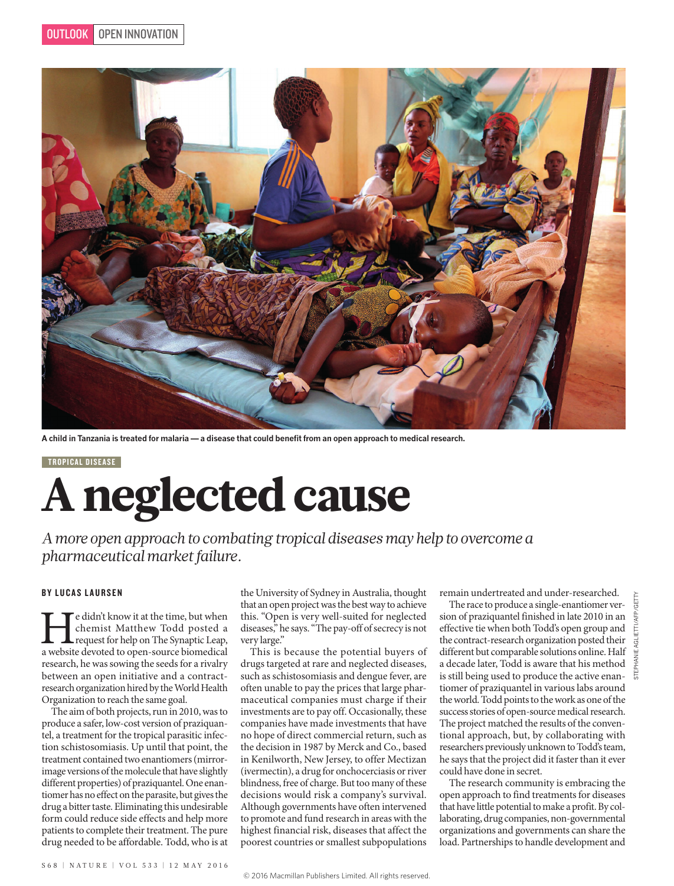

**A child in Tanzania is treated for malaria — a disease that could benefit from an open approach to medical research.** 

## TROPICAL DISEASE A neglected cause

*A more open approach to combating tropical diseases may help to overcome a pharmaceutical market failure.*

## BY LUCAS LAURSEN

I edidn't know it at the time, but when chemist Matthew Todd posted a request for help on The Synaptic Leap, a website devoted to open-source biomedical chemist Matthew Todd posted a request for help on The Synaptic Leap, research, he was sowing the seeds for a rivalry between an open initiative and a contractresearch organization hired by the World Health Organization to reach the same goal.

The aim of both projects, run in 2010, was to produce a safer, low-cost version of praziquantel, a treatment for the tropical parasitic infection schistosomiasis. Up until that point, the treatment contained two enantiomers (mirrorimage versions of the molecule that have slightly different properties) of praziquantel. One enantiomer has no effect on the parasite, but gives the drug a bitter taste. Eliminating this undesirable form could reduce side effects and help more patients to complete their treatment. The pure drug needed to be affordable. Todd, who is at

the University of Sydney in Australia, thought that an open project was the best way to achieve this. "Open is very well-suited for neglected diseases," he says. "The pay-off of secrecy is not very large."

This is because the potential buyers of drugs targeted at rare and neglected diseases, such as schistosomiasis and dengue fever, are often unable to pay the prices that large pharmaceutical companies must charge if their investments are to pay off. Occasionally, these companies have made investments that have no hope of direct commercial return, such as the decision in 1987 by Merck and Co., based in Kenilworth, New Jersey, to offer Mectizan (ivermectin), a drug for onchocerciasis or river blindness, free of charge. But too many of these decisions would risk a company's survival. Although governments have often intervened to promote and fund research in areas with the highest financial risk, diseases that affect the poorest countries or smallest subpopulations

remain undertreated and under-researched.

The race to produce a single-enantiomer version of praziquantel finished in late 2010 in an effective tie when both Todd's open group and the contract-research organization posted their different but comparable solutions online. Half a decade later, Todd is aware that his method is still being used to produce the active enantiomer of praziquantel in various labs around the world. Todd points to the work as one of the success stories of open-source medical research. The project matched the results of the conventional approach, but, by collaborating with researchers previously unknown to Todd's team, he says that the project did it faster than it ever could have done in secret.

The research community is embracing the open approach to find treatments for diseases that have little potential to make a profit. By collaborating, drug companies, non-governmental organizations and governments can share the load. Partnerships to handle development and